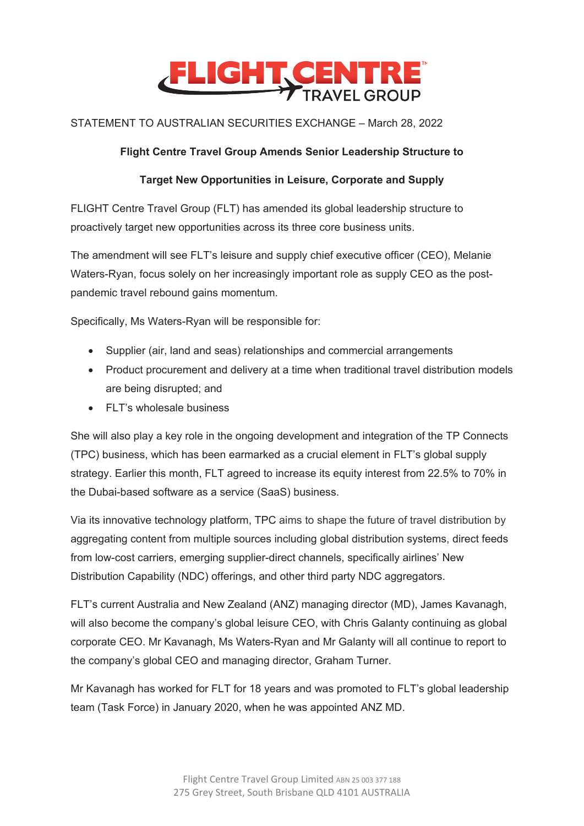

# STATEMENT TO AUSTRALIAN SECURITIES EXCHANGE – March 28, 2022

### **Flight Centre Travel Group Amends Senior Leadership Structure to**

## **Target New Opportunities in Leisure, Corporate and Supply**

FLIGHT Centre Travel Group (FLT) has amended its global leadership structure to proactively target new opportunities across its three core business units.

The amendment will see FLT's leisure and supply chief executive officer (CEO), Melanie Waters-Ryan, focus solely on her increasingly important role as supply CEO as the postpandemic travel rebound gains momentum.

Specifically, Ms Waters-Ryan will be responsible for:

- Supplier (air, land and seas) relationships and commercial arrangements
- Product procurement and delivery at a time when traditional travel distribution models are being disrupted; and
- FLT's wholesale business

She will also play a key role in the ongoing development and integration of the TP Connects (TPC) business, which has been earmarked as a crucial element in FLT's global supply strategy. Earlier this month, FLT agreed to increase its equity interest from 22.5% to 70% in the Dubai-based software as a service (SaaS) business.

Via its innovative technology platform, TPC aims to shape the future of travel distribution by aggregating content from multiple sources including global distribution systems, direct feeds from low-cost carriers, emerging supplier-direct channels, specifically airlines' New Distribution Capability (NDC) offerings, and other third party NDC aggregators.

FLT's current Australia and New Zealand (ANZ) managing director (MD), James Kavanagh, will also become the company's global leisure CEO, with Chris Galanty continuing as global corporate CEO. Mr Kavanagh, Ms Waters-Ryan and Mr Galanty will all continue to report to the company's global CEO and managing director, Graham Turner.

Mr Kavanagh has worked for FLT for 18 years and was promoted to FLT's global leadership team (Task Force) in January 2020, when he was appointed ANZ MD.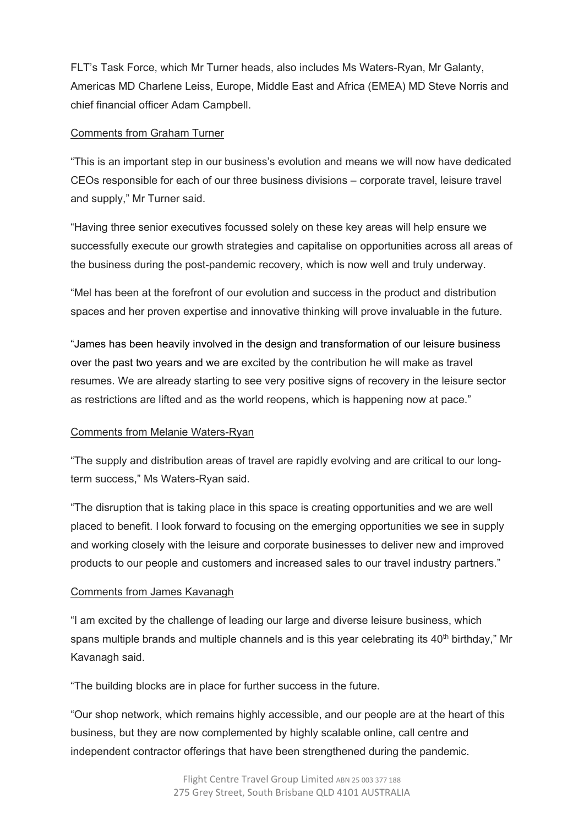FLT's Task Force, which Mr Turner heads, also includes Ms Waters-Ryan, Mr Galanty, Americas MD Charlene Leiss, Europe, Middle East and Africa (EMEA) MD Steve Norris and chief financial officer Adam Campbell.

#### Comments from Graham Turner

"This is an important step in our business's evolution and means we will now have dedicated CEOs responsible for each of our three business divisions – corporate travel, leisure travel and supply," Mr Turner said.

"Having three senior executives focussed solely on these key areas will help ensure we successfully execute our growth strategies and capitalise on opportunities across all areas of the business during the post-pandemic recovery, which is now well and truly underway.

"Mel has been at the forefront of our evolution and success in the product and distribution spaces and her proven expertise and innovative thinking will prove invaluable in the future.

"James has been heavily involved in the design and transformation of our leisure business over the past two years and we are excited by the contribution he will make as travel resumes. We are already starting to see very positive signs of recovery in the leisure sector as restrictions are lifted and as the world reopens, which is happening now at pace."

### Comments from Melanie Waters-Ryan

"The supply and distribution areas of travel are rapidly evolving and are critical to our longterm success," Ms Waters-Ryan said.

"The disruption that is taking place in this space is creating opportunities and we are well placed to benefit. I look forward to focusing on the emerging opportunities we see in supply and working closely with the leisure and corporate businesses to deliver new and improved products to our people and customers and increased sales to our travel industry partners."

#### Comments from James Kavanagh

"I am excited by the challenge of leading our large and diverse leisure business, which spans multiple brands and multiple channels and is this year celebrating its 40<sup>th</sup> birthday," Mr Kavanagh said.

"The building blocks are in place for further success in the future.

"Our shop network, which remains highly accessible, and our people are at the heart of this business, but they are now complemented by highly scalable online, call centre and independent contractor offerings that have been strengthened during the pandemic.